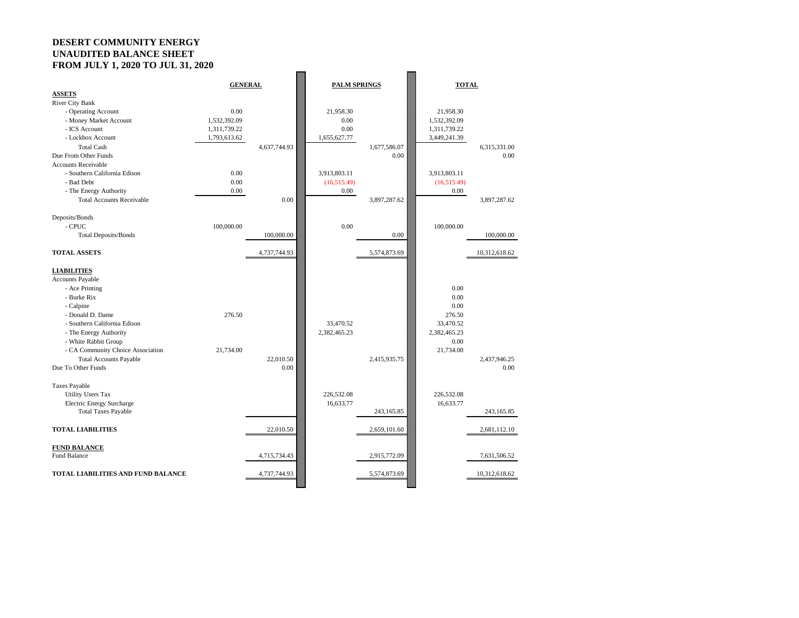## **DESERT COMMUNITY ENERGY UNAUDITED BALANCE SHEET FROM JULY 1, 2020 TO JUL 31, 2020**

| 10.11001111, 100010100011,         |                |              |                     |              |              |               |
|------------------------------------|----------------|--------------|---------------------|--------------|--------------|---------------|
|                                    | <b>GENERAL</b> |              | <b>PALM SPRINGS</b> |              | <b>TOTAL</b> |               |
| <b>ASSETS</b>                      |                |              |                     |              |              |               |
| <b>River City Bank</b>             |                |              |                     |              |              |               |
| - Operating Account                | 0.00           |              | 21,958.30           |              | 21,958.30    |               |
| - Money Market Account             | 1,532,392.09   |              | 0.00                |              | 1,532,392.09 |               |
| - ICS Account                      | 1,311,739.22   |              | 0.00                |              | 1,311,739.22 |               |
| - Lockbox Account                  | 1,793,613.62   |              | 1,655,627.77        |              | 3,449,241.39 |               |
| <b>Total Cash</b>                  |                | 4,637,744.93 |                     | 1,677,586.07 |              | 6,315,331.00  |
| Due From Other Funds               |                |              |                     | 0.00         |              | 0.00          |
| <b>Accounts Receivable</b>         |                |              |                     |              |              |               |
| - Southern California Edison       | 0.00           |              | 3,913,803.11        |              | 3,913,803.11 |               |
| - Bad Debt                         | 0.00           |              | (16,515.49)         |              | (16,515.49)  |               |
| - The Energy Authority             | 0.00           |              | 0.00                |              | 0.00         |               |
| <b>Total Accounts Receivable</b>   |                | 0.00         |                     | 3,897,287.62 |              | 3,897,287.62  |
|                                    |                |              |                     |              |              |               |
| Deposits/Bonds                     |                |              |                     |              |              |               |
| - CPUC                             | 100,000.00     |              | 0.00                |              | 100,000.00   |               |
|                                    |                | 100,000.00   |                     | 0.00         |              | 100,000.00    |
| <b>Total Deposits/Bonds</b>        |                |              |                     |              |              |               |
|                                    |                |              |                     |              |              |               |
| <b>TOTAL ASSETS</b>                |                | 4,737,744.93 |                     | 5,574,873.69 |              | 10,312,618.62 |
|                                    |                |              |                     |              |              |               |
| <b>LIABILITIES</b>                 |                |              |                     |              |              |               |
| <b>Accounts Payable</b>            |                |              |                     |              |              |               |
| - Ace Printing                     |                |              |                     |              | 0.00         |               |
| - Burke Rix                        |                |              |                     |              | 0.00         |               |
| - Calpine                          |                |              |                     |              | 0.00         |               |
| - Donald D. Dame                   | 276.50         |              |                     |              | 276.50       |               |
| - Southern California Edison       |                |              | 33,470.52           |              | 33,470.52    |               |
| - The Energy Authority             |                |              | 2,382,465.23        |              | 2,382,465.23 |               |
| - White Rabbit Group               |                |              |                     |              | 0.00         |               |
| - CA Community Choice Association  | 21,734.00      |              |                     |              | 21,734.00    |               |
| <b>Total Accounts Payable</b>      |                | 22,010.50    |                     | 2,415,935.75 |              | 2,437,946.25  |
| Due To Other Funds                 |                | 0.00         |                     |              |              | 0.00          |
|                                    |                |              |                     |              |              |               |
| <b>Taxes Payable</b>               |                |              |                     |              |              |               |
| <b>Utility Users Tax</b>           |                |              | 226,532.08          |              | 226,532.08   |               |
| <b>Electric Energy Surcharge</b>   |                |              | 16,633.77           |              | 16,633.77    |               |
| <b>Total Taxes Payable</b>         |                |              |                     | 243,165.85   |              | 243,165.85    |
|                                    |                |              |                     |              |              |               |
| <b>TOTAL LIABILITIES</b>           |                | 22,010.50    |                     | 2,659,101.60 |              | 2,681,112.10  |
|                                    |                |              |                     |              |              |               |
| <b>FUND BALANCE</b>                |                |              |                     |              |              |               |
| Fund Balance                       |                | 4,715,734.43 |                     | 2,915,772.09 |              | 7,631,506.52  |
|                                    |                |              |                     |              |              |               |
| TOTAL LIABILITIES AND FUND BALANCE |                | 4,737,744.93 |                     |              |              |               |
|                                    |                |              |                     | 5,574,873.69 |              | 10,312,618.62 |
|                                    |                |              |                     |              |              |               |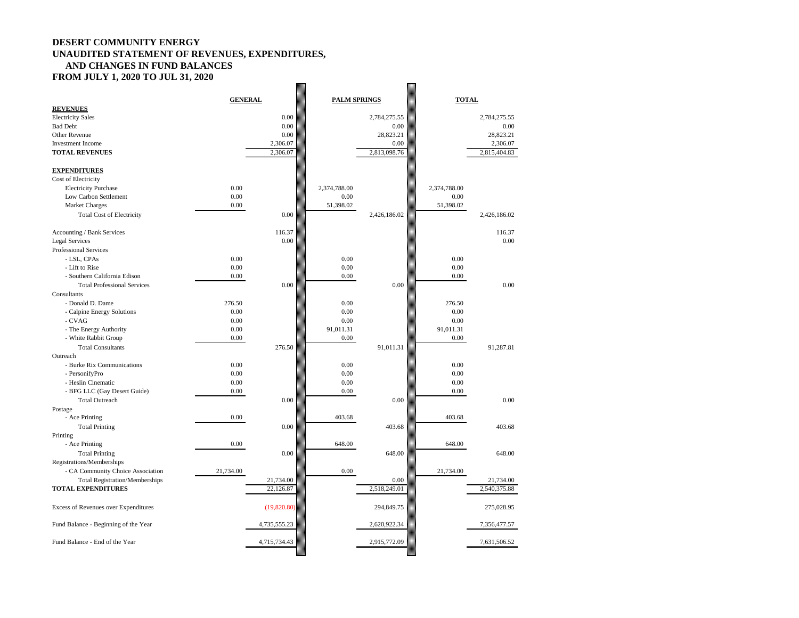## **DESERT COMMUNITY ENERGY UNAUDITED STATEMENT OF REVENUES, EXPENDITURES, AND CHANGES IN FUND BALANCES FROM JULY 1, 2020 TO JUL 31, 2020**

| 0.00<br>2,784,275.55<br><b>Electricity Sales</b><br>2,784,275.55<br>0.00<br><b>Bad Debt</b><br>0.00<br>0.00<br>28,823.21<br>0.00<br>28,823.21<br>Other Revenue<br><b>Investment Income</b><br>2,306.07<br>2,306.07<br>0.00<br>2,813,098.76<br>2,815,404.83<br><b>TOTAL REVENUES</b><br>2,306.07<br><b>EXPENDITURES</b><br>Cost of Electricity<br>0.00<br><b>Electricity Purchase</b><br>2,374,788.00<br>2,374,788.00<br>Low Carbon Settlement<br>0.00<br>0.00<br>0.00<br>51,398.02<br>0.00<br>51,398.02<br><b>Market Charges</b><br>0.00<br><b>Total Cost of Electricity</b><br>2,426,186.02<br>2,426,186.02<br>116.37<br>Accounting / Bank Services<br>116.37<br>0.00<br>0.00<br><b>Legal Services</b><br><b>Professional Services</b><br>0.00<br>0.00<br>- LSL, CPAs<br>0.00<br>- Lift to Rise<br>0.00<br>0.00<br>0.00<br>- Southern California Edison<br>0.00<br>0.00<br>0.00<br>0.00<br>$0.00\,$<br>0.00<br><b>Total Professional Services</b><br>Consultants<br>- Donald D. Dame<br>276.50<br>0.00<br>276.50<br>0.00<br>0.00<br>0.00<br>- Calpine Energy Solutions<br>- CVAG<br>0.00<br>0.00<br>0.00<br>- The Energy Authority<br>0.00<br>91,011.31<br>91,011.31<br>- White Rabbit Group<br>0.00<br>0.00<br>0.00<br>276.50<br>91,011.31<br><b>Total Consultants</b><br>91,287.81<br>Outreach<br>0.00<br>0.00<br>0.00<br>- Burke Rix Communications<br>0.00<br>0.00<br>0.00<br>- PersonifyPro<br>- Heslin Cinematic<br>0.00<br>0.00<br>0.00<br>- BFG LLC (Gay Desert Guide)<br>0.00<br>0.00<br>0.00<br>0.00<br>0.00<br><b>Total Outreach</b><br>0.00<br>Postage<br>- Ace Printing<br>0.00<br>403.68<br>403.68<br>0.00<br>403.68<br>403.68<br><b>Total Printing</b><br>Printing<br>- Ace Printing<br>648.00<br>0.00<br>648.00<br>0.00<br><b>Total Printing</b><br>648.00<br>648.00<br>Registrations/Memberships<br>- CA Community Choice Association<br>21,734.00<br>0.00<br>21,734.00<br><b>Total Registration/Memberships</b><br>21,734.00<br>0.00<br>21,734.00<br><b>TOTAL EXPENDITURES</b><br>2,518,249.01<br>2,540,375.88<br>22,126.87<br>(19,820.80)<br><b>Excess of Revenues over Expenditures</b><br>294,849.75<br>275,028.95<br>Fund Balance - Beginning of the Year<br>7,356,477.57<br>4,735,555.23<br>2,620,922.34<br>Fund Balance - End of the Year<br>4,715,734.43<br>2,915,772.09<br>7,631,506.52 | <b>REVENUES</b> | <b>GENERAL</b> |  | <b>PALM SPRINGS</b> | <b>TOTAL</b> |  |
|--------------------------------------------------------------------------------------------------------------------------------------------------------------------------------------------------------------------------------------------------------------------------------------------------------------------------------------------------------------------------------------------------------------------------------------------------------------------------------------------------------------------------------------------------------------------------------------------------------------------------------------------------------------------------------------------------------------------------------------------------------------------------------------------------------------------------------------------------------------------------------------------------------------------------------------------------------------------------------------------------------------------------------------------------------------------------------------------------------------------------------------------------------------------------------------------------------------------------------------------------------------------------------------------------------------------------------------------------------------------------------------------------------------------------------------------------------------------------------------------------------------------------------------------------------------------------------------------------------------------------------------------------------------------------------------------------------------------------------------------------------------------------------------------------------------------------------------------------------------------------------------------------------------------------------------------------------------------------------------------------------------------------------------------------------------------------------------------------------------------------------------------------------------------------------------------------------------------------------------------------------------------------------------------------------------------|-----------------|----------------|--|---------------------|--------------|--|
|                                                                                                                                                                                                                                                                                                                                                                                                                                                                                                                                                                                                                                                                                                                                                                                                                                                                                                                                                                                                                                                                                                                                                                                                                                                                                                                                                                                                                                                                                                                                                                                                                                                                                                                                                                                                                                                                                                                                                                                                                                                                                                                                                                                                                                                                                                                    |                 |                |  |                     |              |  |
|                                                                                                                                                                                                                                                                                                                                                                                                                                                                                                                                                                                                                                                                                                                                                                                                                                                                                                                                                                                                                                                                                                                                                                                                                                                                                                                                                                                                                                                                                                                                                                                                                                                                                                                                                                                                                                                                                                                                                                                                                                                                                                                                                                                                                                                                                                                    |                 |                |  |                     |              |  |
|                                                                                                                                                                                                                                                                                                                                                                                                                                                                                                                                                                                                                                                                                                                                                                                                                                                                                                                                                                                                                                                                                                                                                                                                                                                                                                                                                                                                                                                                                                                                                                                                                                                                                                                                                                                                                                                                                                                                                                                                                                                                                                                                                                                                                                                                                                                    |                 |                |  |                     |              |  |
|                                                                                                                                                                                                                                                                                                                                                                                                                                                                                                                                                                                                                                                                                                                                                                                                                                                                                                                                                                                                                                                                                                                                                                                                                                                                                                                                                                                                                                                                                                                                                                                                                                                                                                                                                                                                                                                                                                                                                                                                                                                                                                                                                                                                                                                                                                                    |                 |                |  |                     |              |  |
|                                                                                                                                                                                                                                                                                                                                                                                                                                                                                                                                                                                                                                                                                                                                                                                                                                                                                                                                                                                                                                                                                                                                                                                                                                                                                                                                                                                                                                                                                                                                                                                                                                                                                                                                                                                                                                                                                                                                                                                                                                                                                                                                                                                                                                                                                                                    |                 |                |  |                     |              |  |
|                                                                                                                                                                                                                                                                                                                                                                                                                                                                                                                                                                                                                                                                                                                                                                                                                                                                                                                                                                                                                                                                                                                                                                                                                                                                                                                                                                                                                                                                                                                                                                                                                                                                                                                                                                                                                                                                                                                                                                                                                                                                                                                                                                                                                                                                                                                    |                 |                |  |                     |              |  |
|                                                                                                                                                                                                                                                                                                                                                                                                                                                                                                                                                                                                                                                                                                                                                                                                                                                                                                                                                                                                                                                                                                                                                                                                                                                                                                                                                                                                                                                                                                                                                                                                                                                                                                                                                                                                                                                                                                                                                                                                                                                                                                                                                                                                                                                                                                                    |                 |                |  |                     |              |  |
|                                                                                                                                                                                                                                                                                                                                                                                                                                                                                                                                                                                                                                                                                                                                                                                                                                                                                                                                                                                                                                                                                                                                                                                                                                                                                                                                                                                                                                                                                                                                                                                                                                                                                                                                                                                                                                                                                                                                                                                                                                                                                                                                                                                                                                                                                                                    |                 |                |  |                     |              |  |
|                                                                                                                                                                                                                                                                                                                                                                                                                                                                                                                                                                                                                                                                                                                                                                                                                                                                                                                                                                                                                                                                                                                                                                                                                                                                                                                                                                                                                                                                                                                                                                                                                                                                                                                                                                                                                                                                                                                                                                                                                                                                                                                                                                                                                                                                                                                    |                 |                |  |                     |              |  |
|                                                                                                                                                                                                                                                                                                                                                                                                                                                                                                                                                                                                                                                                                                                                                                                                                                                                                                                                                                                                                                                                                                                                                                                                                                                                                                                                                                                                                                                                                                                                                                                                                                                                                                                                                                                                                                                                                                                                                                                                                                                                                                                                                                                                                                                                                                                    |                 |                |  |                     |              |  |
|                                                                                                                                                                                                                                                                                                                                                                                                                                                                                                                                                                                                                                                                                                                                                                                                                                                                                                                                                                                                                                                                                                                                                                                                                                                                                                                                                                                                                                                                                                                                                                                                                                                                                                                                                                                                                                                                                                                                                                                                                                                                                                                                                                                                                                                                                                                    |                 |                |  |                     |              |  |
|                                                                                                                                                                                                                                                                                                                                                                                                                                                                                                                                                                                                                                                                                                                                                                                                                                                                                                                                                                                                                                                                                                                                                                                                                                                                                                                                                                                                                                                                                                                                                                                                                                                                                                                                                                                                                                                                                                                                                                                                                                                                                                                                                                                                                                                                                                                    |                 |                |  |                     |              |  |
|                                                                                                                                                                                                                                                                                                                                                                                                                                                                                                                                                                                                                                                                                                                                                                                                                                                                                                                                                                                                                                                                                                                                                                                                                                                                                                                                                                                                                                                                                                                                                                                                                                                                                                                                                                                                                                                                                                                                                                                                                                                                                                                                                                                                                                                                                                                    |                 |                |  |                     |              |  |
|                                                                                                                                                                                                                                                                                                                                                                                                                                                                                                                                                                                                                                                                                                                                                                                                                                                                                                                                                                                                                                                                                                                                                                                                                                                                                                                                                                                                                                                                                                                                                                                                                                                                                                                                                                                                                                                                                                                                                                                                                                                                                                                                                                                                                                                                                                                    |                 |                |  |                     |              |  |
|                                                                                                                                                                                                                                                                                                                                                                                                                                                                                                                                                                                                                                                                                                                                                                                                                                                                                                                                                                                                                                                                                                                                                                                                                                                                                                                                                                                                                                                                                                                                                                                                                                                                                                                                                                                                                                                                                                                                                                                                                                                                                                                                                                                                                                                                                                                    |                 |                |  |                     |              |  |
|                                                                                                                                                                                                                                                                                                                                                                                                                                                                                                                                                                                                                                                                                                                                                                                                                                                                                                                                                                                                                                                                                                                                                                                                                                                                                                                                                                                                                                                                                                                                                                                                                                                                                                                                                                                                                                                                                                                                                                                                                                                                                                                                                                                                                                                                                                                    |                 |                |  |                     |              |  |
|                                                                                                                                                                                                                                                                                                                                                                                                                                                                                                                                                                                                                                                                                                                                                                                                                                                                                                                                                                                                                                                                                                                                                                                                                                                                                                                                                                                                                                                                                                                                                                                                                                                                                                                                                                                                                                                                                                                                                                                                                                                                                                                                                                                                                                                                                                                    |                 |                |  |                     |              |  |
|                                                                                                                                                                                                                                                                                                                                                                                                                                                                                                                                                                                                                                                                                                                                                                                                                                                                                                                                                                                                                                                                                                                                                                                                                                                                                                                                                                                                                                                                                                                                                                                                                                                                                                                                                                                                                                                                                                                                                                                                                                                                                                                                                                                                                                                                                                                    |                 |                |  |                     |              |  |
|                                                                                                                                                                                                                                                                                                                                                                                                                                                                                                                                                                                                                                                                                                                                                                                                                                                                                                                                                                                                                                                                                                                                                                                                                                                                                                                                                                                                                                                                                                                                                                                                                                                                                                                                                                                                                                                                                                                                                                                                                                                                                                                                                                                                                                                                                                                    |                 |                |  |                     |              |  |
|                                                                                                                                                                                                                                                                                                                                                                                                                                                                                                                                                                                                                                                                                                                                                                                                                                                                                                                                                                                                                                                                                                                                                                                                                                                                                                                                                                                                                                                                                                                                                                                                                                                                                                                                                                                                                                                                                                                                                                                                                                                                                                                                                                                                                                                                                                                    |                 |                |  |                     |              |  |
|                                                                                                                                                                                                                                                                                                                                                                                                                                                                                                                                                                                                                                                                                                                                                                                                                                                                                                                                                                                                                                                                                                                                                                                                                                                                                                                                                                                                                                                                                                                                                                                                                                                                                                                                                                                                                                                                                                                                                                                                                                                                                                                                                                                                                                                                                                                    |                 |                |  |                     |              |  |
|                                                                                                                                                                                                                                                                                                                                                                                                                                                                                                                                                                                                                                                                                                                                                                                                                                                                                                                                                                                                                                                                                                                                                                                                                                                                                                                                                                                                                                                                                                                                                                                                                                                                                                                                                                                                                                                                                                                                                                                                                                                                                                                                                                                                                                                                                                                    |                 |                |  |                     |              |  |
|                                                                                                                                                                                                                                                                                                                                                                                                                                                                                                                                                                                                                                                                                                                                                                                                                                                                                                                                                                                                                                                                                                                                                                                                                                                                                                                                                                                                                                                                                                                                                                                                                                                                                                                                                                                                                                                                                                                                                                                                                                                                                                                                                                                                                                                                                                                    |                 |                |  |                     |              |  |
|                                                                                                                                                                                                                                                                                                                                                                                                                                                                                                                                                                                                                                                                                                                                                                                                                                                                                                                                                                                                                                                                                                                                                                                                                                                                                                                                                                                                                                                                                                                                                                                                                                                                                                                                                                                                                                                                                                                                                                                                                                                                                                                                                                                                                                                                                                                    |                 |                |  |                     |              |  |
|                                                                                                                                                                                                                                                                                                                                                                                                                                                                                                                                                                                                                                                                                                                                                                                                                                                                                                                                                                                                                                                                                                                                                                                                                                                                                                                                                                                                                                                                                                                                                                                                                                                                                                                                                                                                                                                                                                                                                                                                                                                                                                                                                                                                                                                                                                                    |                 |                |  |                     |              |  |
|                                                                                                                                                                                                                                                                                                                                                                                                                                                                                                                                                                                                                                                                                                                                                                                                                                                                                                                                                                                                                                                                                                                                                                                                                                                                                                                                                                                                                                                                                                                                                                                                                                                                                                                                                                                                                                                                                                                                                                                                                                                                                                                                                                                                                                                                                                                    |                 |                |  |                     |              |  |
|                                                                                                                                                                                                                                                                                                                                                                                                                                                                                                                                                                                                                                                                                                                                                                                                                                                                                                                                                                                                                                                                                                                                                                                                                                                                                                                                                                                                                                                                                                                                                                                                                                                                                                                                                                                                                                                                                                                                                                                                                                                                                                                                                                                                                                                                                                                    |                 |                |  |                     |              |  |
|                                                                                                                                                                                                                                                                                                                                                                                                                                                                                                                                                                                                                                                                                                                                                                                                                                                                                                                                                                                                                                                                                                                                                                                                                                                                                                                                                                                                                                                                                                                                                                                                                                                                                                                                                                                                                                                                                                                                                                                                                                                                                                                                                                                                                                                                                                                    |                 |                |  |                     |              |  |
|                                                                                                                                                                                                                                                                                                                                                                                                                                                                                                                                                                                                                                                                                                                                                                                                                                                                                                                                                                                                                                                                                                                                                                                                                                                                                                                                                                                                                                                                                                                                                                                                                                                                                                                                                                                                                                                                                                                                                                                                                                                                                                                                                                                                                                                                                                                    |                 |                |  |                     |              |  |
|                                                                                                                                                                                                                                                                                                                                                                                                                                                                                                                                                                                                                                                                                                                                                                                                                                                                                                                                                                                                                                                                                                                                                                                                                                                                                                                                                                                                                                                                                                                                                                                                                                                                                                                                                                                                                                                                                                                                                                                                                                                                                                                                                                                                                                                                                                                    |                 |                |  |                     |              |  |
|                                                                                                                                                                                                                                                                                                                                                                                                                                                                                                                                                                                                                                                                                                                                                                                                                                                                                                                                                                                                                                                                                                                                                                                                                                                                                                                                                                                                                                                                                                                                                                                                                                                                                                                                                                                                                                                                                                                                                                                                                                                                                                                                                                                                                                                                                                                    |                 |                |  |                     |              |  |
|                                                                                                                                                                                                                                                                                                                                                                                                                                                                                                                                                                                                                                                                                                                                                                                                                                                                                                                                                                                                                                                                                                                                                                                                                                                                                                                                                                                                                                                                                                                                                                                                                                                                                                                                                                                                                                                                                                                                                                                                                                                                                                                                                                                                                                                                                                                    |                 |                |  |                     |              |  |
|                                                                                                                                                                                                                                                                                                                                                                                                                                                                                                                                                                                                                                                                                                                                                                                                                                                                                                                                                                                                                                                                                                                                                                                                                                                                                                                                                                                                                                                                                                                                                                                                                                                                                                                                                                                                                                                                                                                                                                                                                                                                                                                                                                                                                                                                                                                    |                 |                |  |                     |              |  |
|                                                                                                                                                                                                                                                                                                                                                                                                                                                                                                                                                                                                                                                                                                                                                                                                                                                                                                                                                                                                                                                                                                                                                                                                                                                                                                                                                                                                                                                                                                                                                                                                                                                                                                                                                                                                                                                                                                                                                                                                                                                                                                                                                                                                                                                                                                                    |                 |                |  |                     |              |  |
|                                                                                                                                                                                                                                                                                                                                                                                                                                                                                                                                                                                                                                                                                                                                                                                                                                                                                                                                                                                                                                                                                                                                                                                                                                                                                                                                                                                                                                                                                                                                                                                                                                                                                                                                                                                                                                                                                                                                                                                                                                                                                                                                                                                                                                                                                                                    |                 |                |  |                     |              |  |
|                                                                                                                                                                                                                                                                                                                                                                                                                                                                                                                                                                                                                                                                                                                                                                                                                                                                                                                                                                                                                                                                                                                                                                                                                                                                                                                                                                                                                                                                                                                                                                                                                                                                                                                                                                                                                                                                                                                                                                                                                                                                                                                                                                                                                                                                                                                    |                 |                |  |                     |              |  |
|                                                                                                                                                                                                                                                                                                                                                                                                                                                                                                                                                                                                                                                                                                                                                                                                                                                                                                                                                                                                                                                                                                                                                                                                                                                                                                                                                                                                                                                                                                                                                                                                                                                                                                                                                                                                                                                                                                                                                                                                                                                                                                                                                                                                                                                                                                                    |                 |                |  |                     |              |  |
|                                                                                                                                                                                                                                                                                                                                                                                                                                                                                                                                                                                                                                                                                                                                                                                                                                                                                                                                                                                                                                                                                                                                                                                                                                                                                                                                                                                                                                                                                                                                                                                                                                                                                                                                                                                                                                                                                                                                                                                                                                                                                                                                                                                                                                                                                                                    |                 |                |  |                     |              |  |
|                                                                                                                                                                                                                                                                                                                                                                                                                                                                                                                                                                                                                                                                                                                                                                                                                                                                                                                                                                                                                                                                                                                                                                                                                                                                                                                                                                                                                                                                                                                                                                                                                                                                                                                                                                                                                                                                                                                                                                                                                                                                                                                                                                                                                                                                                                                    |                 |                |  |                     |              |  |
|                                                                                                                                                                                                                                                                                                                                                                                                                                                                                                                                                                                                                                                                                                                                                                                                                                                                                                                                                                                                                                                                                                                                                                                                                                                                                                                                                                                                                                                                                                                                                                                                                                                                                                                                                                                                                                                                                                                                                                                                                                                                                                                                                                                                                                                                                                                    |                 |                |  |                     |              |  |
|                                                                                                                                                                                                                                                                                                                                                                                                                                                                                                                                                                                                                                                                                                                                                                                                                                                                                                                                                                                                                                                                                                                                                                                                                                                                                                                                                                                                                                                                                                                                                                                                                                                                                                                                                                                                                                                                                                                                                                                                                                                                                                                                                                                                                                                                                                                    |                 |                |  |                     |              |  |
|                                                                                                                                                                                                                                                                                                                                                                                                                                                                                                                                                                                                                                                                                                                                                                                                                                                                                                                                                                                                                                                                                                                                                                                                                                                                                                                                                                                                                                                                                                                                                                                                                                                                                                                                                                                                                                                                                                                                                                                                                                                                                                                                                                                                                                                                                                                    |                 |                |  |                     |              |  |
|                                                                                                                                                                                                                                                                                                                                                                                                                                                                                                                                                                                                                                                                                                                                                                                                                                                                                                                                                                                                                                                                                                                                                                                                                                                                                                                                                                                                                                                                                                                                                                                                                                                                                                                                                                                                                                                                                                                                                                                                                                                                                                                                                                                                                                                                                                                    |                 |                |  |                     |              |  |
|                                                                                                                                                                                                                                                                                                                                                                                                                                                                                                                                                                                                                                                                                                                                                                                                                                                                                                                                                                                                                                                                                                                                                                                                                                                                                                                                                                                                                                                                                                                                                                                                                                                                                                                                                                                                                                                                                                                                                                                                                                                                                                                                                                                                                                                                                                                    |                 |                |  |                     |              |  |
|                                                                                                                                                                                                                                                                                                                                                                                                                                                                                                                                                                                                                                                                                                                                                                                                                                                                                                                                                                                                                                                                                                                                                                                                                                                                                                                                                                                                                                                                                                                                                                                                                                                                                                                                                                                                                                                                                                                                                                                                                                                                                                                                                                                                                                                                                                                    |                 |                |  |                     |              |  |
|                                                                                                                                                                                                                                                                                                                                                                                                                                                                                                                                                                                                                                                                                                                                                                                                                                                                                                                                                                                                                                                                                                                                                                                                                                                                                                                                                                                                                                                                                                                                                                                                                                                                                                                                                                                                                                                                                                                                                                                                                                                                                                                                                                                                                                                                                                                    |                 |                |  |                     |              |  |
|                                                                                                                                                                                                                                                                                                                                                                                                                                                                                                                                                                                                                                                                                                                                                                                                                                                                                                                                                                                                                                                                                                                                                                                                                                                                                                                                                                                                                                                                                                                                                                                                                                                                                                                                                                                                                                                                                                                                                                                                                                                                                                                                                                                                                                                                                                                    |                 |                |  |                     |              |  |
|                                                                                                                                                                                                                                                                                                                                                                                                                                                                                                                                                                                                                                                                                                                                                                                                                                                                                                                                                                                                                                                                                                                                                                                                                                                                                                                                                                                                                                                                                                                                                                                                                                                                                                                                                                                                                                                                                                                                                                                                                                                                                                                                                                                                                                                                                                                    |                 |                |  |                     |              |  |
|                                                                                                                                                                                                                                                                                                                                                                                                                                                                                                                                                                                                                                                                                                                                                                                                                                                                                                                                                                                                                                                                                                                                                                                                                                                                                                                                                                                                                                                                                                                                                                                                                                                                                                                                                                                                                                                                                                                                                                                                                                                                                                                                                                                                                                                                                                                    |                 |                |  |                     |              |  |
|                                                                                                                                                                                                                                                                                                                                                                                                                                                                                                                                                                                                                                                                                                                                                                                                                                                                                                                                                                                                                                                                                                                                                                                                                                                                                                                                                                                                                                                                                                                                                                                                                                                                                                                                                                                                                                                                                                                                                                                                                                                                                                                                                                                                                                                                                                                    |                 |                |  |                     |              |  |